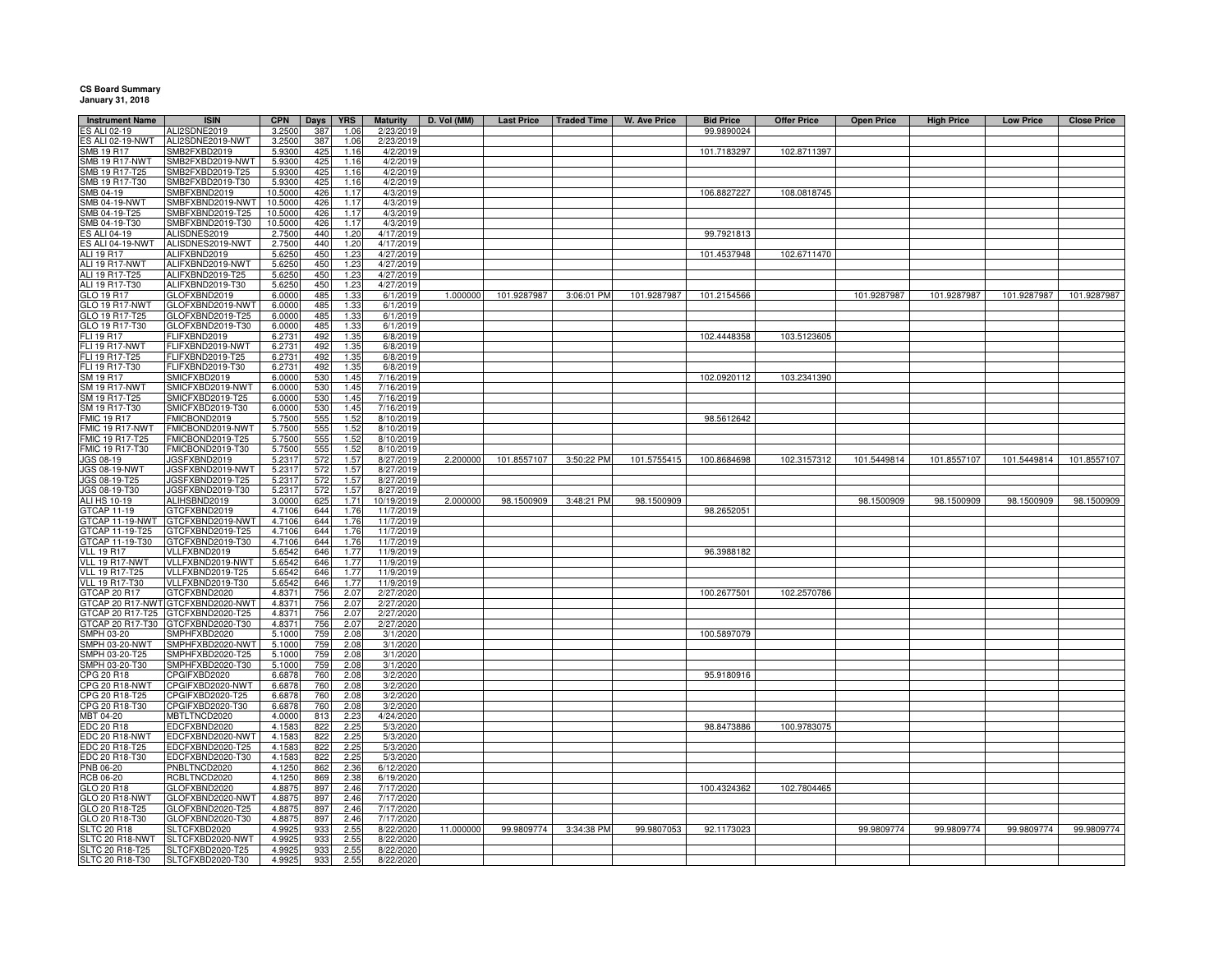## **CS Board Summary January 31, 2018**

| <b>Instrument Name</b><br>S ALI 02-19   | <b>ISIN</b>                          | <b>CPN</b><br>3.2500 | Days            | <b>YRS</b>   | <b>Maturity</b>         | D. Vol (MM) | <b>Last Price</b> | <b>Traded Time</b> | <b>W. Ave Price</b> | <b>Bid Price</b> | <b>Offer Price</b> | <b>Open Price</b> | <b>High Price</b> | <b>Low Price</b> | <b>Close Price</b> |
|-----------------------------------------|--------------------------------------|----------------------|-----------------|--------------|-------------------------|-------------|-------------------|--------------------|---------------------|------------------|--------------------|-------------------|-------------------|------------------|--------------------|
| S ALI 02-19-NWT                         | ALI2SDNE2019<br>ALI2SDNE2019-NWT     | 3.2500               | 387<br>387      | 1.06<br>1.06 | 2/23/2019<br>2/23/2019  |             |                   |                    |                     | 99.9890024       |                    |                   |                   |                  |                    |
| <b>SMB 19 R17</b>                       | SMB2FXBD2019                         | 5.9300               | 425             | 1.16         | 4/2/2019                |             |                   |                    |                     | 101.7183297      | 102.8711397        |                   |                   |                  |                    |
| <b>SMB 19 R17-NWT</b>                   | SMB2FXBD2019-NWT                     | 5.9300               | 425             | 1.16         | 4/2/2019                |             |                   |                    |                     |                  |                    |                   |                   |                  |                    |
| SMB 19 R17-T25                          | SMB2FXBD2019-T25                     | 5.9300               | 425             | 1.16         | 4/2/2019                |             |                   |                    |                     |                  |                    |                   |                   |                  |                    |
| SMB 19 R17-T30                          | SMB2FXBD2019-T30                     | 5.9300               | 425             | 1.16         | 4/2/2019                |             |                   |                    |                     |                  |                    |                   |                   |                  |                    |
| SMB 04-19                               | SMBFXBND2019                         | 10.5000              | 426             | 1.17         | 4/3/2019                |             |                   |                    |                     | 106.8827227      | 108.0818745        |                   |                   |                  |                    |
| <b>SMB 04-19-NWT</b>                    | SMBFXBND2019-NWT                     | 10.5000              | 426             | 1.17         | 4/3/2019                |             |                   |                    |                     |                  |                    |                   |                   |                  |                    |
| MB 04-19-T25                            | SMBFXBND2019-T25                     | 10.5000              | 426             | 1.17         | 4/3/2019                |             |                   |                    |                     |                  |                    |                   |                   |                  |                    |
| SMB 04-19-T30                           | SMBFXBND2019-T30                     | 10.5000              | 426             | 1.17         | 4/3/2019                |             |                   |                    |                     |                  |                    |                   |                   |                  |                    |
| S ALI 04-19                             | ALISDNES2019                         | 2.7500               | 440             | 1.20         | 4/17/2019               |             |                   |                    |                     | 99.7921813       |                    |                   |                   |                  |                    |
| S ALI 04-19-NWT                         | ALISDNES2019-NWT                     | 2.7500               | 440             | 1.20         | 4/17/2019               |             |                   |                    |                     |                  |                    |                   |                   |                  |                    |
| ALI 19 R17                              | ALIFXBND2019                         | 5.6250               | 450             | 1.23         | 4/27/2019               |             |                   |                    |                     | 101.4537948      | 102.6711470        |                   |                   |                  |                    |
| <b>ALI 19 R17-NWT</b><br>ALI 19 R17-T25 | ALIFXBND2019-NWT<br>ALIFXBND2019-T25 | 5.6250<br>5.6250     | 450<br>450      | 1.23<br>1.23 | 4/27/2019<br>4/27/2019  |             |                   |                    |                     |                  |                    |                   |                   |                  |                    |
| ALI 19 R17-T30                          | ALIFXBND2019-T30                     | 5.6250               | 450             | 1.23         | 4/27/2019               |             |                   |                    |                     |                  |                    |                   |                   |                  |                    |
| GLO 19 R17                              | GLOFXBND2019                         | 6.0000               | 485             | 1.33         | 6/1/2019                | 1.000000    | 101.9287987       | 3:06:01 PM         | 101.9287987         | 101.2154566      |                    | 101.9287987       | 101.9287987       | 101.9287987      | 101.9287987        |
| GLO 19 R17-NWT                          | GLOFXBND2019-NWT                     | 6.0000               | 485             | 1.33         | 6/1/2019                |             |                   |                    |                     |                  |                    |                   |                   |                  |                    |
| GLO 19 R17-T25                          | GLOFXBND2019-T25                     | 6.0000               | 485             | 1.33         | 6/1/2019                |             |                   |                    |                     |                  |                    |                   |                   |                  |                    |
| GLO 19 R17-T30                          | GLOFXBND2019-T30                     | 6.0000               | 485             | 1.33         | 6/1/2019                |             |                   |                    |                     |                  |                    |                   |                   |                  |                    |
| FLI 19 R17                              | FLIFXBND2019                         | 6.2731               | 492             | 1.35         | 6/8/2019                |             |                   |                    |                     | 102.4448358      | 103.5123605        |                   |                   |                  |                    |
| FLI 19 R17-NWT                          | FLIFXBND2019-NWT                     | 6.2731               | 492             | 1.35         | 6/8/2019                |             |                   |                    |                     |                  |                    |                   |                   |                  |                    |
| FLI 19 R17-T25                          | FLIFXBND2019-T25                     | 6.2731               | 492             | 1.35         | 6/8/2019                |             |                   |                    |                     |                  |                    |                   |                   |                  |                    |
| FLI 19 R17-T30                          | FLIFXBND2019-T30                     | 6.273                | 492             | 1.35         | 6/8/2019                |             |                   |                    |                     |                  |                    |                   |                   |                  |                    |
| SM 19 R17                               | SMICFXBD2019                         | 6.0000               | 530             | 1.45         | 7/16/2019               |             |                   |                    |                     | 102.0920112      | 103.2341390        |                   |                   |                  |                    |
| <b>SM 19 R17-NWT</b>                    | SMICFXBD2019-NWT                     | 6.0000               | 530             | 1.45         | 7/16/2019               |             |                   |                    |                     |                  |                    |                   |                   |                  |                    |
| SM 19 R17-T25<br>SM 19 R17-T30          | SMICFXBD2019-T25<br>SMICFXBD2019-T30 | 6.0000<br>6.0000     | 530<br>530      | 1.45<br>1.45 | 7/16/2019<br>7/16/2019  |             |                   |                    |                     |                  |                    |                   |                   |                  |                    |
| <b>FMIC 19 R17</b>                      | FMICBOND2019                         | 5.7500               | 555             | 1.52         | 8/10/2019               |             |                   |                    |                     | 98.5612642       |                    |                   |                   |                  |                    |
| FMIC 19 R17-NWT                         | FMICBOND2019-NWT                     | 5.7500               | 555             | 1.52         | 8/10/2019               |             |                   |                    |                     |                  |                    |                   |                   |                  |                    |
| FMIC 19 R17-T25                         | FMICBOND2019-T25                     | 5.7500               | 555             | 1.52         | 8/10/2019               |             |                   |                    |                     |                  |                    |                   |                   |                  |                    |
| FMIC 19 R17-T30                         | FMICBOND2019-T30                     | 5.7500               | 555             | 1.52         | 8/10/2019               |             |                   |                    |                     |                  |                    |                   |                   |                  |                    |
| JGS 08-19                               | JGSFXBND2019                         | 5.231                | 572             | 1.57         | 8/27/2019               | 2.200000    | 101.8557107       | 3:50:22 PM         | 101.5755415         | 100.8684698      | 102.3157312        | 101.5449814       | 101.8557107       | 101.5449814      | 101.8557107        |
| <b>JGS 08-19-NWT</b>                    | JGSFXBND2019-NW                      | 5.231                | 572             | 1.57         | 8/27/2019               |             |                   |                    |                     |                  |                    |                   |                   |                  |                    |
| JGS 08-19-T25                           | JGSFXBND2019-T25                     | 5.231                | 572             | 1.57         | 8/27/2019               |             |                   |                    |                     |                  |                    |                   |                   |                  |                    |
| JGS 08-19-T30<br>ALI HS 10-19           | JGSFXBND2019-T30<br>ALIHSBND2019     | 5.231<br>3.0000      | 572<br>625      | 1.57<br>1.71 | 8/27/2019<br>10/19/2019 | 2.000000    | 98.1500909        | 3:48:21 PM         | 98.1500909          |                  |                    | 98.1500909        | 98.1500909        | 98.1500909       | 98.1500909         |
| <b>STCAP 11-19</b>                      | GTCFXBND2019                         | 4.7106               | 644             | 1.76         | 11/7/2019               |             |                   |                    |                     | 98.2652051       |                    |                   |                   |                  |                    |
| TCAP 11-19-NWT                          | GTCFXBND2019-NWT                     | 4.7106               | 644             | 1.76         | 11/7/2019               |             |                   |                    |                     |                  |                    |                   |                   |                  |                    |
| TCAP 11-19-T25                          | GTCFXBND2019-T25                     | 4.7106               | 644             | 1.76         | 11/7/2019               |             |                   |                    |                     |                  |                    |                   |                   |                  |                    |
| GTCAP 11-19-T30                         | GTCFXBND2019-T30                     | 4.7106               | 644             | 1.76         | 11/7/2019               |             |                   |                    |                     |                  |                    |                   |                   |                  |                    |
| <b>VLL 19 R17</b>                       | VLLFXBND2019                         | 5.6542               | 646             | 1.77         | 11/9/2019               |             |                   |                    |                     | 96.3988182       |                    |                   |                   |                  |                    |
| VLL 19 R17-NWT                          | VLLFXBND2019-NWT                     | 5.654                | 646             | 1.77         | 11/9/2019               |             |                   |                    |                     |                  |                    |                   |                   |                  |                    |
| <b>VLL 19 R17-T25</b>                   | VLLFXBND2019-T25                     | 5.6542               | 646             | 1.77         | 11/9/2019               |             |                   |                    |                     |                  |                    |                   |                   |                  |                    |
| <b>VLL 19 R17-T30</b>                   | VLLFXBND2019-T30                     | 5.6542               | 646             | 1.77         | 11/9/2019               |             |                   |                    |                     |                  |                    |                   |                   |                  |                    |
| <b>GTCAP 20 R17</b><br>GTCAP 20 R17-NWT | GTCFXBND2020<br>GTCFXBND2020-NWT     | 4.8371               | 756<br>756      | 2.07<br>2.07 | 2/27/2020<br>2/27/2020  |             |                   |                    |                     | 100.2677501      | 102.2570786        |                   |                   |                  |                    |
| GTCAP 20 R17-T25                        | GTCFXBND2020-T25                     | 4.837<br>4.8371      | 756             | 2.07         | 2/27/2020               |             |                   |                    |                     |                  |                    |                   |                   |                  |                    |
| TCAP 20 R17-T30                         | GTCFXBND2020-T30                     | 4.8371               | 756             | 2.07         | 2/27/2020               |             |                   |                    |                     |                  |                    |                   |                   |                  |                    |
| SMPH 03-20                              | SMPHFXBD2020                         | 5.1000               | 75 <sub>9</sub> | 2.08         | 3/1/2020                |             |                   |                    |                     | 100.5897079      |                    |                   |                   |                  |                    |
| MPH 03-20-NWT                           | SMPHFXBD2020-NWT                     | 5.1000               | 759             | 2.08         | 3/1/2020                |             |                   |                    |                     |                  |                    |                   |                   |                  |                    |
| MPH 03-20-T25                           | SMPHFXBD2020-T25                     | 5.1000               | 75 <sub>9</sub> | 2.08         | 3/1/2020                |             |                   |                    |                     |                  |                    |                   |                   |                  |                    |
| MPH 03-20-T30                           | SMPHFXBD2020-T30                     | 5.1000               | 759             | 2.08         | 3/1/2020                |             |                   |                    |                     |                  |                    |                   |                   |                  |                    |
| PG 20 R18                               | CPGIFXBD2020                         | 6.6878               | 760             | 2.08         | 3/2/2020                |             |                   |                    |                     | 95.9180916       |                    |                   |                   |                  |                    |
| PG 20 R18-NWT<br>PG 20 R18-T25          | CPGIFXBD2020-NWT<br>CPGIFXBD2020-T25 | 6.6878<br>6.6878     | 760<br>760      | 2.08<br>2.08 | 3/2/2020<br>3/2/2020    |             |                   |                    |                     |                  |                    |                   |                   |                  |                    |
| CPG 20 R18-T30                          | CPGIFXBD2020-T30                     | 6.6878               | 760             | 2.08         | 3/2/2020                |             |                   |                    |                     |                  |                    |                   |                   |                  |                    |
| MBT 04-20                               | MBTLTNCD2020                         | 4.0000               | 813             | 2.23         | 4/24/2020               |             |                   |                    |                     |                  |                    |                   |                   |                  |                    |
| EDC 20 R18                              | EDCFXBND2020                         | 4.1583               | 822             | 2.25         | 5/3/2020                |             |                   |                    |                     | 98.8473886       | 100.9783075        |                   |                   |                  |                    |
| EDC 20 R18-NWT                          | EDCFXBND2020-NWT                     | 4.1583               | 822             | 2.25         | 5/3/2020                |             |                   |                    |                     |                  |                    |                   |                   |                  |                    |
| EDC 20 R18-T25                          | EDCFXBND2020-T25                     | 4.158                | 822             | 2.2!         | 5/3/2020                |             |                   |                    |                     |                  |                    |                   |                   |                  |                    |
| EDC 20 R18-T30                          | EDCFXBND2020-T30                     | 4.1583               | 822             | 2.25         | 5/3/2020                |             |                   |                    |                     |                  |                    |                   |                   |                  |                    |
| <b>PNB 06-20</b>                        | PNBLTNCD2020                         | 4.1250               | 862             | 2.36         | 6/12/2020               |             |                   |                    |                     |                  |                    |                   |                   |                  |                    |
| <b>RCB 06-20</b><br>GLO 20 R18          | RCBLTNCD2020<br>GLOFXBND2020         | 4.1250<br>4.887      | 869<br>897      | 2.38<br>2.46 | 6/19/2020<br>7/17/2020  |             |                   |                    |                     | 100.4324362      | 102.7804465        |                   |                   |                  |                    |
| GLO 20 R18-NWT                          | GLOFXBND2020-NWT                     | 4.887                | 897             | 2.46         | 7/17/2020               |             |                   |                    |                     |                  |                    |                   |                   |                  |                    |
| GLO 20 R18-T25                          | GLOFXBND2020-T25                     | 4.887                | 897             | 2.46         | 7/17/2020               |             |                   |                    |                     |                  |                    |                   |                   |                  |                    |
| GLO 20 R18-T30                          | GLOFXBND2020-T30                     | 4.887                | 897             | 2.46         | 7/17/2020               |             |                   |                    |                     |                  |                    |                   |                   |                  |                    |
| <b>SLTC 20 R18</b>                      | SLTCFXBD2020                         | 4.992                | 933             | 2.55         | 8/22/2020               | 11.000000   | 99.9809774        | 3:34:38 PM         | 99.9807053          | 92.1173023       |                    | 99.9809774        | 99.9809774        | 99.9809774       | 99.9809774         |
| SLTC 20 R18-NWT                         | SLTCFXBD2020-NWT                     | 4.992                | 933             | 2.55         | 8/22/2020               |             |                   |                    |                     |                  |                    |                   |                   |                  |                    |
| SLTC 20 R18-T25                         | SLTCFXBD2020-T25                     | 4.992                | 933             | 2.55         | 8/22/2020               |             |                   |                    |                     |                  |                    |                   |                   |                  |                    |
| SLTC 20 R18-T30                         | SLTCFXBD2020-T30                     | 4.9925               | 933             | 2.55         | 8/22/2020               |             |                   |                    |                     |                  |                    |                   |                   |                  |                    |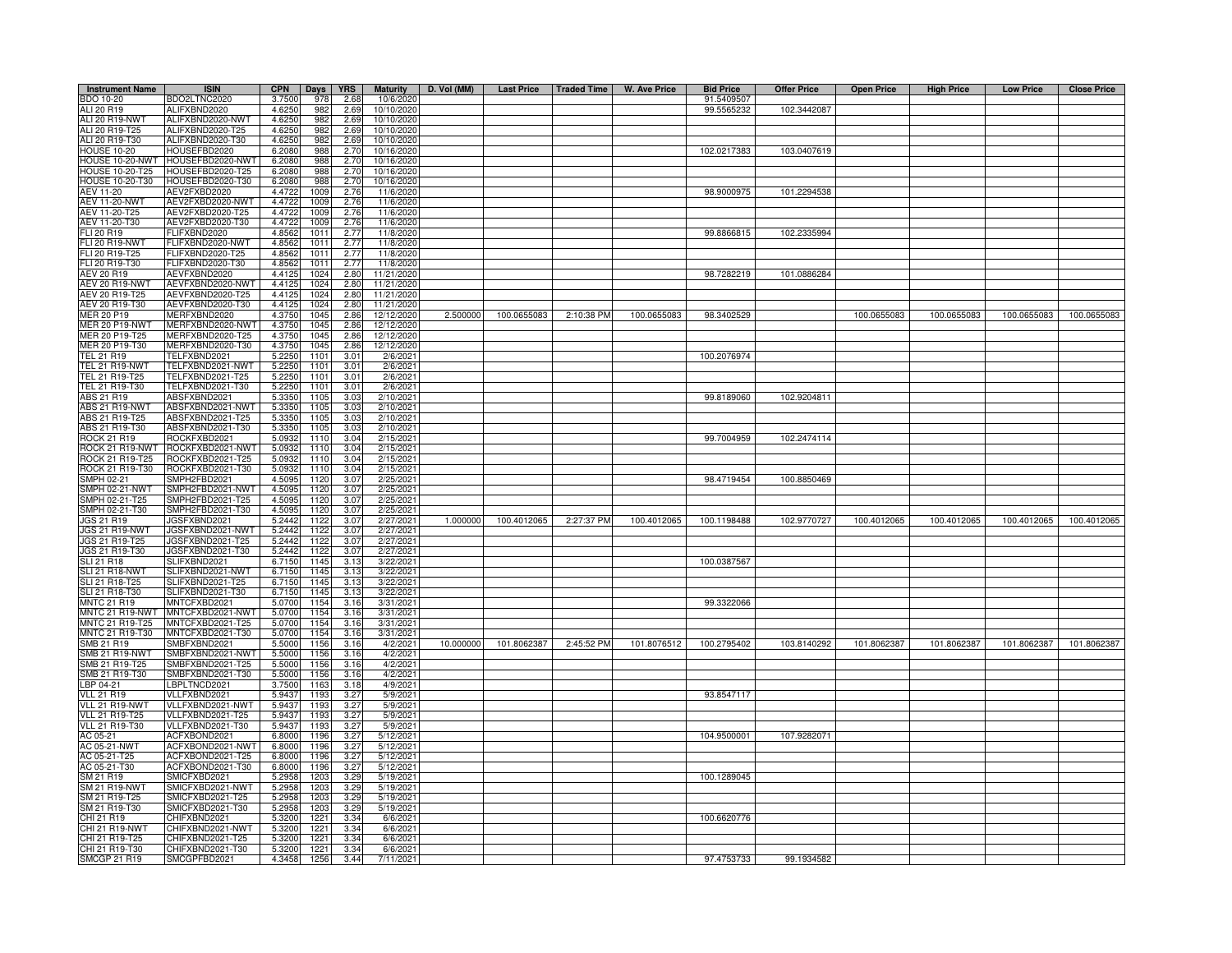| <b>Instrument Name</b> | <b>ISIN</b>      | <b>CPN</b> | Days             | <b>YRS</b> | <b>Maturity</b> | D. Vol (MM) |             |            | Last Price   Traded Time   W. Ave Price | <b>Bid Price</b> | <b>Offer Price</b> | <b>Open Price</b> | <b>High Price</b> | <b>Low Price</b> | <b>Close Price</b> |
|------------------------|------------------|------------|------------------|------------|-----------------|-------------|-------------|------------|-----------------------------------------|------------------|--------------------|-------------------|-------------------|------------------|--------------------|
| BDO 10-20              | BDO2LTNC2020     | 3.7500     | 978              | 2.68       | 10/6/2020       |             |             |            |                                         | 91.5409507       |                    |                   |                   |                  |                    |
| ALI 20 R19             | ALIFXBND2020     | 4.6250     | 982              | 2.69       | 10/10/2020      |             |             |            |                                         | 99.5565232       | 102.3442087        |                   |                   |                  |                    |
| ALI 20 R19-NWT         | ALIFXBND2020-NWT | 4.6250     | 982              | 2.69       | 10/10/2020      |             |             |            |                                         |                  |                    |                   |                   |                  |                    |
| ALI 20 R19-T25         | ALIFXBND2020-T25 | 4.6250     | 982              | 2.69       | 10/10/2020      |             |             |            |                                         |                  |                    |                   |                   |                  |                    |
| ALI 20 R19-T30         | ALIFXBND2020-T30 | 4.6250     | 982              | 2.69       | 10/10/2020      |             |             |            |                                         |                  |                    |                   |                   |                  |                    |
| <b>HOUSE 10-20</b>     | HOUSEFBD2020     | 6.2080     | 988              | 2.70       | 10/16/2020      |             |             |            |                                         | 102.0217383      | 103.0407619        |                   |                   |                  |                    |
| HOUSE 10-20-NWT        | HOUSEFBD2020-NWT | 6.2080     | 988              | 2.70       | 10/16/2020      |             |             |            |                                         |                  |                    |                   |                   |                  |                    |
| HOUSE 10-20-T25        | HOUSEFBD2020-T25 | 6.2080     | 988              | 2.70       | 10/16/2020      |             |             |            |                                         |                  |                    |                   |                   |                  |                    |
| <b>HOUSE 10-20-T30</b> | HOUSEFBD2020-T30 | 6.2080     | 988              | 2.70       | 10/16/2020      |             |             |            |                                         |                  |                    |                   |                   |                  |                    |
| AEV 11-20              | AEV2FXBD2020     | 4.4722     | 1009             | 2.76       | 11/6/2020       |             |             |            |                                         | 98.9000975       | 101.2294538        |                   |                   |                  |                    |
| <b>AEV 11-20-NWT</b>   | AEV2FXBD2020-NWT | 4.4722     | 1009             | 2.76       | 11/6/2020       |             |             |            |                                         |                  |                    |                   |                   |                  |                    |
| AEV 11-20-T25          | AEV2FXBD2020-T25 | 4.4722     | 100              | 2.76       | 11/6/2020       |             |             |            |                                         |                  |                    |                   |                   |                  |                    |
| AEV 11-20-T30          | AEV2FXBD2020-T30 | 4.4722     | 1009             | 2.76       | 11/6/2020       |             |             |            |                                         |                  |                    |                   |                   |                  |                    |
| FLI 20 R19             | FLIFXBND2020     | 4.8562     | 1011             | 2.77       | 11/8/2020       |             |             |            |                                         | 99.8866815       | 102.2335994        |                   |                   |                  |                    |
| FLI 20 R19-NWT         | FLIFXBND2020-NWT | 4.8562     | 101              | 2.77       | 11/8/2020       |             |             |            |                                         |                  |                    |                   |                   |                  |                    |
| FLI 20 R19-T25         | FLIFXBND2020-T25 | 4.8562     | 101              | 2.77       | 11/8/2020       |             |             |            |                                         |                  |                    |                   |                   |                  |                    |
| FLI 20 R19-T30         | FLIFXBND2020-T30 | 4.8562     | 101              | 2.77       | 11/8/2020       |             |             |            |                                         |                  |                    |                   |                   |                  |                    |
| AEV 20 R19             | AEVFXBND2020     | 4.4125     | $102 -$          | 2.80       | 11/21/2020      |             |             |            |                                         | 98.7282219       | 101.0886284        |                   |                   |                  |                    |
| AEV 20 R19-NWT         | AEVFXBND2020-NWT | 4.4125     | 1024             | 2.80       | 11/21/2020      |             |             |            |                                         |                  |                    |                   |                   |                  |                    |
| AEV 20 R19-T25         | AEVFXBND2020-T25 | 4.4125     | 1024             | 2.80       | 11/21/2020      |             |             |            |                                         |                  |                    |                   |                   |                  |                    |
| AEV 20 R19-T30         | AEVFXBND2020-T30 | 4.4125     | 1024             | 2.80       | 11/21/2020      |             |             |            |                                         |                  |                    |                   |                   |                  |                    |
| <b>MER 20 P19</b>      | MERFXBND2020     | 4.3750     | 1045             | 2.86       | 12/12/2020      | 2.500000    | 100.0655083 | 2:10:38 PM | 100.0655083                             | 98.3402529       |                    | 100.0655083       | 100.0655083       | 100.0655083      | 100.0655083        |
| <b>MER 20 P19-NWT</b>  | MERFXBND2020-NWT | 4.3750     | 1045             | 2.86       | 12/12/2020      |             |             |            |                                         |                  |                    |                   |                   |                  |                    |
| MER 20 P19-T25         | MERFXBND2020-T25 | 4.3750     | 1045             | 2.86       | 12/12/2020      |             |             |            |                                         |                  |                    |                   |                   |                  |                    |
| MER 20 P19-T30         | MERFXBND2020-T30 | 4.3750     | 1045             | 2.86       | 12/12/2020      |             |             |            |                                         |                  |                    |                   |                   |                  |                    |
| TEL 21 R19             | TELFXBND2021     | 5.2250     | 1101             | 3.01       | 2/6/2021        |             |             |            |                                         | 100.2076974      |                    |                   |                   |                  |                    |
| TEL 21 R19-NWT         | TELFXBND2021-NWT | 5.2250     | 1101             | 3.01       | 2/6/2021        |             |             |            |                                         |                  |                    |                   |                   |                  |                    |
| TEL 21 R19-T25         | FELFXBND2021-T25 | 5.2250     | 1101             | 3.01       | 2/6/2021        |             |             |            |                                         |                  |                    |                   |                   |                  |                    |
| TEL 21 R19-T30         | TELFXBND2021-T30 | 5.225      | 1101             | 3.01       | 2/6/2021        |             |             |            |                                         |                  |                    |                   |                   |                  |                    |
| ABS 21 R19             | ABSFXBND2021     | 5.3350     | 1105             | 3.03       | 2/10/2021       |             |             |            |                                         | 99.8189060       | 102.9204811        |                   |                   |                  |                    |
| <b>ABS 21 R19-NWT</b>  | ABSFXBND2021-NWT | 5.3350     | 1105             | 3.03       | 2/10/2021       |             |             |            |                                         |                  |                    |                   |                   |                  |                    |
| ABS 21 R19-T25         | ABSFXBND2021-T25 | 5.3350     | 1105             | 3.03       | 2/10/2021       |             |             |            |                                         |                  |                    |                   |                   |                  |                    |
| ABS 21 R19-T30         | ABSFXBND2021-T30 | 5.3350     | 1105             | 3.03       | 2/10/2021       |             |             |            |                                         |                  |                    |                   |                   |                  |                    |
| <b>ROCK 21 R19</b>     | ROCKFXBD2021     | 5.093      | 1110             | 3.04       | 2/15/2021       |             |             |            |                                         | 99.7004959       | 102.2474114        |                   |                   |                  |                    |
| ROCK 21 R19-NWT        | ROCKFXBD2021-NWT | 5.093      | 1110             | 3.04       | 2/15/2021       |             |             |            |                                         |                  |                    |                   |                   |                  |                    |
| ROCK 21 R19-T25        | ROCKFXBD2021-T25 | 5.093      | 1110             | 3.04       | 2/15/2021       |             |             |            |                                         |                  |                    |                   |                   |                  |                    |
| ROCK 21 R19-T30        | ROCKFXBD2021-T30 | 5.093      | 1110             | 3.04       | 2/15/2021       |             |             |            |                                         |                  |                    |                   |                   |                  |                    |
| SMPH 02-21             | SMPH2FBD2021     | 4.509      | 1120             | 3.07       | 2/25/2021       |             |             |            |                                         | 98.4719454       | 100.8850469        |                   |                   |                  |                    |
| <b>SMPH 02-21-NWT</b>  | SMPH2FBD2021-NWT | 4.509      | 1120             | 3.07       | 2/25/2021       |             |             |            |                                         |                  |                    |                   |                   |                  |                    |
| SMPH 02-21-T25         | SMPH2FBD2021-T25 | 4.5095     | 1120             | 3.07       | 2/25/2021       |             |             |            |                                         |                  |                    |                   |                   |                  |                    |
| SMPH 02-21-T30         | SMPH2FBD2021-T30 | 4.5095     | 1120             | 3.07       | 2/25/2021       |             |             |            |                                         |                  |                    |                   |                   |                  |                    |
| <b>JGS 21 R19</b>      | JGSFXBND2021     | 5.2442     | 1122             | 3.07       | 2/27/2021       | 1.000000    | 100.4012065 | 2:27:37 PM | 100.4012065                             | 100.1198488      | 102.9770727        | 100.4012065       | 100.4012065       | 100.4012065      | 100.4012065        |
| JGS 21 R19-NWT         | JGSFXBND2021-NWT | 5.2442     | 112              | 3.07       | 2/27/2021       |             |             |            |                                         |                  |                    |                   |                   |                  |                    |
| JGS 21 R19-T25         | JGSFXBND2021-T25 | 5.2442     | 112              | 3.07       | 2/27/2021       |             |             |            |                                         |                  |                    |                   |                   |                  |                    |
| JGS 21 R19-T30         | JGSFXBND2021-T30 | 5.2442     | 1122             | 3.07       | 2/27/2021       |             |             |            |                                         |                  |                    |                   |                   |                  |                    |
| SLI 21 R18             | SLIFXBND2021     | 6.7150     | 1145             | 3.13       | 3/22/2021       |             |             |            |                                         | 100.0387567      |                    |                   |                   |                  |                    |
| <b>SLI 21 R18-NWT</b>  | SLIFXBND2021-NWT | 6.7150     | 1145             | 3.15       | 3/22/2021       |             |             |            |                                         |                  |                    |                   |                   |                  |                    |
| SLI 21 R18-T25         | SLIFXBND2021-T25 | 6.7150     | 1145             | 3.13       | 3/22/2021       |             |             |            |                                         |                  |                    |                   |                   |                  |                    |
| SLI 21 R18-T30         | SLIFXBND2021-T30 | 6.715      | 1145             | 3.13       | 3/22/2021       |             |             |            |                                         |                  |                    |                   |                   |                  |                    |
| <b>MNTC 21 R19</b>     | MNTCFXBD2021     | 5.0700     | 1154             | 3.16       | 3/31/2021       |             |             |            |                                         | 99.3322066       |                    |                   |                   |                  |                    |
| MNTC 21 R19-NWT        | MNTCFXBD2021-NWT | 5.0700     | 1154             | 3.16       | 3/31/2021       |             |             |            |                                         |                  |                    |                   |                   |                  |                    |
| MNTC 21 R19-T25        | MNTCFXBD2021-T25 | 5.0700     | 1154             | 3.16       | 3/31/2021       |             |             |            |                                         |                  |                    |                   |                   |                  |                    |
| MNTC 21 R19-T30        | MNTCFXBD2021-T30 | 5.0700     | 1154             | 3.16       | 3/31/2021       |             |             |            |                                         |                  |                    |                   |                   |                  |                    |
| SMB 21 R19             | SMBFXBND2021     | 5.5000     | 1156             | 3.16       | 4/2/2021        | 10.000000   | 101.8062387 | 2:45:52 PM | 101.8076512                             | 100.2795402      | 103.8140292        | 101.8062387       | 101.8062387       | 101.8062387      | 101.8062387        |
| <b>SMB 21 R19-NWT</b>  | MBFXBND2021-NWT  | 5.5000     | 1156             | 3.16       | 4/2/2021        |             |             |            |                                         |                  |                    |                   |                   |                  |                    |
| SMB 21 R19-T25         | MBFXBND2021-T25  | 5.5000     | 1156             | 3.16       | 4/2/2021        |             |             |            |                                         |                  |                    |                   |                   |                  |                    |
| SMB 21 R19-T30         | MBFXBND2021-T30  | 5.5000     | 1156             | 3.16       | 4/2/2021        |             |             |            |                                         |                  |                    |                   |                   |                  |                    |
| LBP 04-21              | LBPLTNCD2021     | 3.7500     | 1163             | 3.18       | 4/9/2021        |             |             |            |                                         |                  |                    |                   |                   |                  |                    |
| <b>VLL 21 R19</b>      | VLLFXBND2021     | 5.9437     | 1193             | 3.27       | 5/9/2021        |             |             |            |                                         | 93.8547117       |                    |                   |                   |                  |                    |
| VLL 21 R19-NWT         | VLLFXBND2021-NWT | 5.9437     | 1193             | 3.27       | 5/9/2021        |             |             |            |                                         |                  |                    |                   |                   |                  |                    |
| VLL 21 R19-T25         | VLLFXBND2021-T25 | 5.9437     | 1193             | 3.27       | 5/9/2021        |             |             |            |                                         |                  |                    |                   |                   |                  |                    |
| VLL 21 R19-T30         | VLLFXBND2021-T30 | 5.9437     | 1193             | 3.27       | 5/9/2021        |             |             |            |                                         |                  |                    |                   |                   |                  |                    |
| AC 05-21               | ACFXBOND2021     | 6.8000     | 1196             | 3.27       | 5/12/2021       |             |             |            |                                         | 104.9500001      | 107.9282071        |                   |                   |                  |                    |
| AC 05-21-NWT           | ACFXBOND2021-NWT | 6.8000     | 1196             | 3.27       | 5/12/2021       |             |             |            |                                         |                  |                    |                   |                   |                  |                    |
| AC 05-21-T25           | ACFXBOND2021-T25 | 6.8000     | 1196             | 3.27       | 5/12/2021       |             |             |            |                                         |                  |                    |                   |                   |                  |                    |
| AC 05-21-T30           | ACFXBOND2021-T30 | 6.8000     | 1196             | 3.27       | 5/12/2021       |             |             |            |                                         |                  |                    |                   |                   |                  |                    |
| SM 21 R19              | SMICFXBD2021     | 5.2958     | 1203             | 3.29       | 5/19/2021       |             |             |            |                                         | 100.1289045      |                    |                   |                   |                  |                    |
| <b>SM 21 R19-NWT</b>   | SMICFXBD2021-NWT | 5.2958     | 1203             | 3.29       | 5/19/2021       |             |             |            |                                         |                  |                    |                   |                   |                  |                    |
| SM 21 R19-T25          | MICFXBD2021-T25  | 5.2958     | 120              | 3.29       | 5/19/2021       |             |             |            |                                         |                  |                    |                   |                   |                  |                    |
| SM 21 R19-T30          | SMICFXBD2021-T30 | 5.2958     | 120              | 3.29       | 5/19/2021       |             |             |            |                                         |                  |                    |                   |                   |                  |                    |
| CHI 21 R19             | CHIFXBND2021     | 5.3200     | 1221             | 3.34       | 6/6/2021        |             |             |            |                                         | 100.6620776      |                    |                   |                   |                  |                    |
| CHI 21 R19-NWT         | CHIFXBND2021-NWT | 5.3200     | 1221             | 3.34       | 6/6/2021        |             |             |            |                                         |                  |                    |                   |                   |                  |                    |
| CHI 21 R19-T25         | CHIFXBND2021-T25 | 5.3200     | 122              | 3.34       | 6/6/2021        |             |             |            |                                         |                  |                    |                   |                   |                  |                    |
| CHI 21 R19-T30         | CHIFXBND2021-T30 | 5.3200     | 122 <sub>1</sub> | 3.34       | 6/6/2021        |             |             |            |                                         |                  |                    |                   |                   |                  |                    |
| <b>SMCGP 21 R19</b>    | SMCGPFBD2021     | 4.3458     | 1256             | 3.44       | 7/11/2021       |             |             |            |                                         | 97.4753733       | 99.1934582         |                   |                   |                  |                    |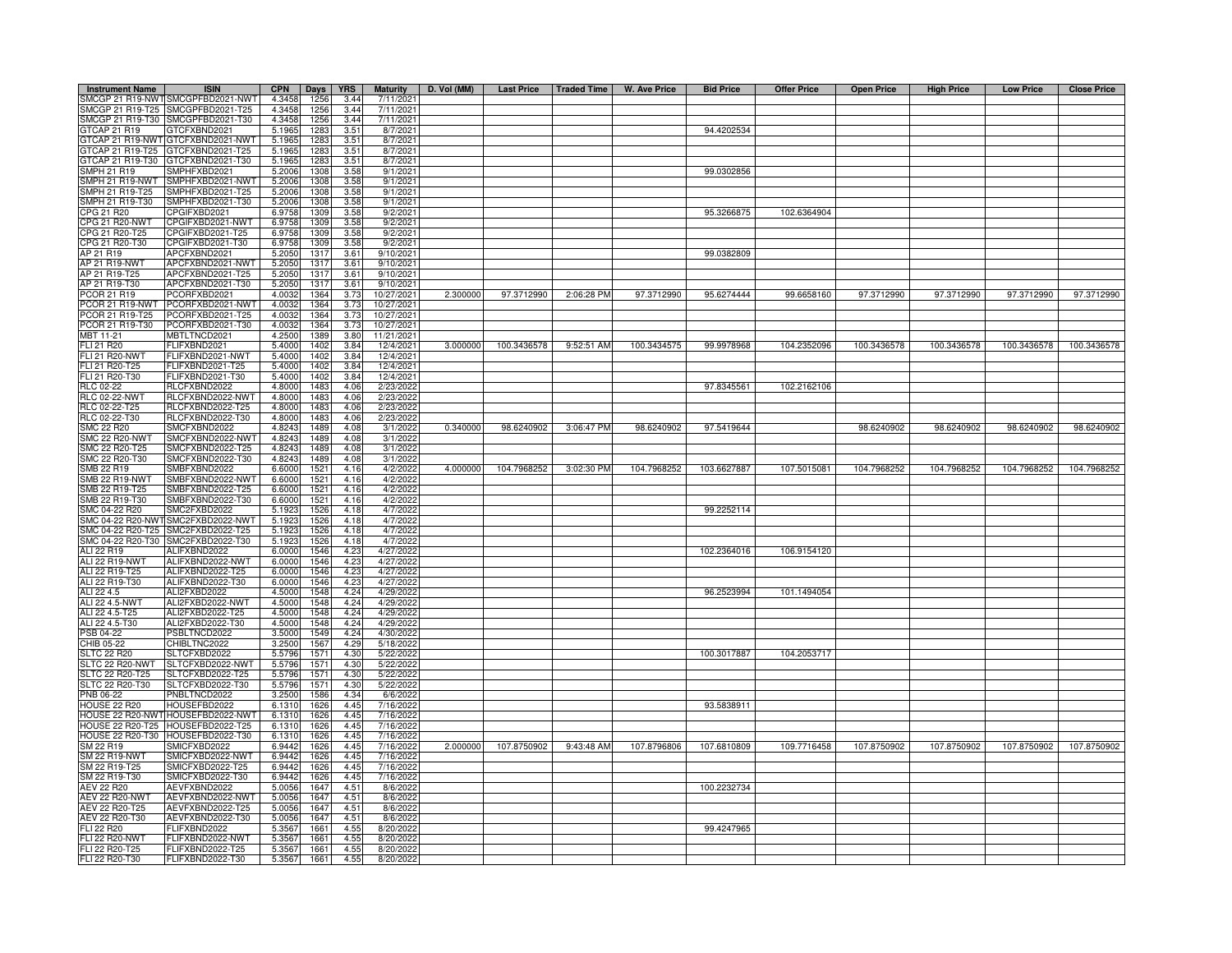| <b>Instrument Name</b>                                                             | <b>ISIN</b>                                                            | <b>CPN</b>       | Days         | <b>YRS</b>   | <b>Maturity</b>                    | D. Vol (MM) | Last Price   Traded Time |            | W. Ave Price | <b>Bid Price</b> | <b>Offer Price</b> | <b>Open Price</b> | <b>High Price</b> | <b>Low Price</b> | <b>Close Price</b> |
|------------------------------------------------------------------------------------|------------------------------------------------------------------------|------------------|--------------|--------------|------------------------------------|-------------|--------------------------|------------|--------------|------------------|--------------------|-------------------|-------------------|------------------|--------------------|
|                                                                                    | SMCGP 21 R19-NWT SMCGPFBD2021-NWT                                      | 4.3458           | 1256         | 3.44         | 7/11/2021                          |             |                          |            |              |                  |                    |                   |                   |                  |                    |
|                                                                                    | SMCGP 21 R19-T25 SMCGPFBD2021-T25<br>SMCGP 21 R19-T30 SMCGPFBD2021-T30 | 4.3458           | 1256<br>1256 | 3.44         | 7/11/2021<br>$\frac{1}{7}$ 11/2021 |             |                          |            |              |                  |                    |                   |                   |                  |                    |
| GTCAP 21 R19                                                                       | GTCFXBND2021                                                           | 4.3458<br>5.1965 | 1283         | 3.44<br>3.51 | 8/7/2021                           |             |                          |            |              | 94.4202534       |                    |                   |                   |                  |                    |
|                                                                                    | GTCAP 21 R19-NWT GTCFXBND2021-NWT                                      | 5.1965           | 1283         | 3.51         | 8/7/2021                           |             |                          |            |              |                  |                    |                   |                   |                  |                    |
| GTCAP 21 R19-T25                                                                   | GTCFXBND2021-T25                                                       | 5.1965           | 1283         | 3.51         | 8/7/2021                           |             |                          |            |              |                  |                    |                   |                   |                  |                    |
| 3TCAP 21 R19-T30                                                                   | GTCFXBND2021-T30                                                       | 5.1965           | 1283         | 3.51         | 8/7/2021                           |             |                          |            |              |                  |                    |                   |                   |                  |                    |
| <b>SMPH 21 R19</b>                                                                 | SMPHFXBD2021                                                           | 5.2006           | 1308         | 3.58         | 9/1/2021                           |             |                          |            |              | 99.0302856       |                    |                   |                   |                  |                    |
| SMPH 21 R19-NWT<br>SMPH 21 R19-T25                                                 | SMPHFXBD2021-NWT<br>SMPHFXBD2021-T25                                   | 5.2006<br>5.2006 | 1308<br>1308 | 3.58<br>3.58 | 9/1/2021<br>9/1/2021               |             |                          |            |              |                  |                    |                   |                   |                  |                    |
| SMPH 21 R19-T30                                                                    | SMPHFXBD2021-T30                                                       | 5.2006           | 1308         | 3.58         | 9/1/2021                           |             |                          |            |              |                  |                    |                   |                   |                  |                    |
| PG 21 R20                                                                          | CPGIFXBD2021                                                           | 6.9758           | 1309         | 3.58         | 9/2/2021                           |             |                          |            |              | 95.3266875       | 102.6364904        |                   |                   |                  |                    |
| <b>CPG 21 R20-NWT</b>                                                              | CPGIFXBD2021-NWT                                                       | 6.9758           | 1309         | 3.58         | 9/2/2021                           |             |                          |            |              |                  |                    |                   |                   |                  |                    |
| CPG 21 R20-T25                                                                     | CPGIFXBD2021-T25                                                       | 6.9758           | 1309         | 3.58         | 9/2/2021                           |             |                          |            |              |                  |                    |                   |                   |                  |                    |
| CPG 21 R20-T30<br>AP 21 R19                                                        | CPGIFXBD2021-T30<br>APCFXBND2021                                       | 6.9758<br>5.2050 | 1309<br>1317 | 3.58<br>3.61 | 9/2/2021<br>9/10/2021              |             |                          |            |              | 99.0382809       |                    |                   |                   |                  |                    |
| <b>AP 21 R19-NWT</b>                                                               | APCFXBND2021-NWT                                                       | 5.2050           | 1317         | 3.61         | 9/10/2021                          |             |                          |            |              |                  |                    |                   |                   |                  |                    |
| AP 21 R19-T25                                                                      | APCFXBND2021-T25                                                       | 5.2050           | 1317         | 3.61         | 9/10/2021                          |             |                          |            |              |                  |                    |                   |                   |                  |                    |
| AP 21 R19-T30                                                                      | APCFXBND2021-T30                                                       | 5.2050           | 1317         | 3.61         | 9/10/2021                          |             |                          |            |              |                  |                    |                   |                   |                  |                    |
| PCOR 21 R19                                                                        | PCORFXBD2021                                                           | 4.0032           | 1364         | 3.73         | 10/27/2021                         | 2.300000    | 97.3712990               | 2:06:28 PM | 97.3712990   | 95.6274444       | 99.6658160         | 97.3712990        | 97.3712990        | 97.3712990       | 97.3712990         |
| PCOR 21 R19-NWT<br>PCOR 21 R19-T25                                                 | PCORFXBD2021-NWT<br>PCORFXBD2021-T25                                   | 4.0032<br>4.0032 | 1364<br>1364 | 3.73<br>3.73 | 10/27/2021<br>10/27/202            |             |                          |            |              |                  |                    |                   |                   |                  |                    |
| PCOR 21 R19-T30                                                                    | PCORFXBD2021-T30                                                       | 4.0032           | 1364         | 3.73         | 10/27/2021                         |             |                          |            |              |                  |                    |                   |                   |                  |                    |
| MBT 11-21                                                                          | MBTLTNCD2021                                                           | 4.2500           | 1389         | 3.80         | 11/21/2021                         |             |                          |            |              |                  |                    |                   |                   |                  |                    |
| FLI 21 R20                                                                         | FLIFXBND2021                                                           | 5.4000           | 1402         | 3.84         | 12/4/2021                          | 3.000000    | 100.3436578              | 9:52:51 AM | 100.3434575  | 99.9978968       | 104.2352096        | 100.3436578       | 100.3436578       | 100.3436578      | 100.3436578        |
| <b>FLI 21 R20-NWT</b>                                                              | FLIFXBND2021-NWT                                                       | 5.4000           | 1402         | 3.84         | 12/4/2021                          |             |                          |            |              |                  |                    |                   |                   |                  |                    |
| FLI 21 R20-T25                                                                     | FLIFXBND2021-T25                                                       | 5.4000           | 1402         | 3.84         | 12/4/2021                          |             |                          |            |              |                  |                    |                   |                   |                  |                    |
| FLI 21 R20-T30<br><b>RLC 02-22</b>                                                 | FLIFXBND2021-T30<br>RLCFXBND2022                                       | 5.4000<br>4.8000 | 1402<br>1483 | 3.84<br>4.06 | 12/4/2021<br>2/23/2022             |             |                          |            |              | 97.8345561       | 102.2162106        |                   |                   |                  |                    |
| <b>RLC 02-22-NWT</b>                                                               | RLCFXBND2022-NWT                                                       | 4.8000           | 1483         | 4.06         | 2/23/2022                          |             |                          |            |              |                  |                    |                   |                   |                  |                    |
| RLC 02-22-T25                                                                      | RLCFXBND2022-T25                                                       | 4.8000           | 1483         | 4.06         | 2/23/2022                          |             |                          |            |              |                  |                    |                   |                   |                  |                    |
| RLC 02-22-T30                                                                      | RLCFXBND2022-T30                                                       | 4.8000           | 1483         | 4.06         | 2/23/2022                          |             |                          |            |              |                  |                    |                   |                   |                  |                    |
| <b>SMC 22 R20</b>                                                                  | SMCFXBND2022                                                           | 4.8243           | 1489         | 4.08         | 3/1/2022                           | 0.340000    | 98.6240902               | 3:06:47 PM | 98.6240902   | 97.5419644       |                    | 98.6240902        | 98.6240902        | 98.6240902       | 98.6240902         |
|                                                                                    | SMCFXBND2022-NWT<br>SMCFXBND2022-T25                                   | 4.8243<br>4.8243 | 1489<br>1489 | 4.08<br>4.08 | 3/1/2022<br>3/1/2022               |             |                          |            |              |                  |                    |                   |                   |                  |                    |
|                                                                                    | SMCFXBND2022-T30                                                       | 4.824            | 1489         | 4.08         | 3/1/2022                           |             |                          |            |              |                  |                    |                   |                   |                  |                    |
| SMC 22 R20-NWT<br>SMC 22 R20-T25<br>SMC 22 R20-T30<br>SMB 22 R19<br>SMB 22 R19-NWT | SMBFXBND2022                                                           | 6.6000           | 1521         | 4.16         | 4/2/2022                           | 4.000000    | 104.7968252              | 3:02:30 PM | 104.7968252  | 103.6627887      | 107.5015081        | 104.7968252       | 104.7968252       | 104.7968252      | 104.7968252        |
|                                                                                    | SMBFXBND2022-NWT                                                       | 6.6000           | 1521         | 4.16         | 4/2/2022                           |             |                          |            |              |                  |                    |                   |                   |                  |                    |
| SMB 22 R19-T25                                                                     | SMBFXBND2022-T25                                                       | 6.6000           | 1521         | 4.16         | 4/2/2022                           |             |                          |            |              |                  |                    |                   |                   |                  |                    |
| SMB 22 R19-T30<br>SMC 04-22 R20                                                    | SMBFXBND2022-T30<br>SMC2FXBD2022                                       | 6.6000<br>5.1923 | 1521<br>1526 | 4.16<br>4.18 | 4/2/2022<br>4/7/2022               |             |                          |            |              | 99.2252114       |                    |                   |                   |                  |                    |
| SMC 04-22 R20-NW                                                                   | SMC2FXBD2022-NWT                                                       | 5.1923           | 1526         | 4.18         | 4/7/2022                           |             |                          |            |              |                  |                    |                   |                   |                  |                    |
| MC 04-22 R20-T25                                                                   | SMC2FXBD2022-T25                                                       | 5.192            | 1526         | 4.18         | 4/7/2022                           |             |                          |            |              |                  |                    |                   |                   |                  |                    |
| MC 04-22 R20-T30                                                                   | SMC2FXBD2022-T30                                                       | 5.192            | 1526         | 4.18         | 4/7/2022                           |             |                          |            |              |                  |                    |                   |                   |                  |                    |
| ALI 22 R19                                                                         | ALIFXBND2022                                                           | 6.0000           | 1546         | 4.23         | 4/27/2022                          |             |                          |            |              | 102.2364016      | 106.9154120        |                   |                   |                  |                    |
| <b>ALI 22 R19-NWT</b><br>ALI 22 R19-T25                                            | ALIFXBND2022-NWT<br>ALIFXBND2022-T25                                   | 6.0000<br>6.0000 | 1546<br>1546 | 4.23<br>42:  | 4/27/2022<br>4/27/2022             |             |                          |            |              |                  |                    |                   |                   |                  |                    |
| ALI 22 R19-T30                                                                     | ALIFXBND2022-T30                                                       | 6.0000           | 1546         | 4.23         | 4/27/2022                          |             |                          |            |              |                  |                    |                   |                   |                  |                    |
| ALI 22 4.5                                                                         | ALI2FXBD2022                                                           | 4.5000           | 1548         | 4.24         | 4/29/2022                          |             |                          |            |              | 96.2523994       | 101.1494054        |                   |                   |                  |                    |
| ALI 22 4.5-NWT                                                                     | ALI2FXBD2022-NWT                                                       | 4.5000           | 1548         | 4.24         | 4/29/2022                          |             |                          |            |              |                  |                    |                   |                   |                  |                    |
| ALI 22 4.5-T25                                                                     | ALI2FXBD2022-T25                                                       | 4.5000           | 1548         | 4.24         | 4/29/2022                          |             |                          |            |              |                  |                    |                   |                   |                  |                    |
| ALI 22 4.5-T30<br>PSB 04-22                                                        | ALI2FXBD2022-T30<br>PSBLTNCD2022                                       | 4.5000<br>3.5000 | 1548<br>1549 | 4.24<br>4.24 | 4/29/2022<br>4/30/2022             |             |                          |            |              |                  |                    |                   |                   |                  |                    |
| CHIB 05-22                                                                         | CHIBLTNC2022                                                           | 3.2500           | 1567         | 4.29         | 5/18/2022                          |             |                          |            |              |                  |                    |                   |                   |                  |                    |
| <b>SLTC 22 R20</b>                                                                 | SLTCFXBD2022                                                           | 5.5796           | 1571         | 4.30         | 5/22/2022                          |             |                          |            |              | 100.3017887      | 104.2053717        |                   |                   |                  |                    |
| SLTC 22 R20-NWT                                                                    | SLTCFXBD2022-NWT                                                       | 5.5796           | 1571         | 4.30         | 5/22/2022                          |             |                          |            |              |                  |                    |                   |                   |                  |                    |
| SLTC 22 R20-T25                                                                    | SLTCFXBD2022-T25                                                       | 5.5796           | 1571         | 4.30         | 5/22/2022                          |             |                          |            |              |                  |                    |                   |                   |                  |                    |
| SLTC 22 R20-T30<br>PNB 06-22                                                       | SLTCFXBD2022-T30<br>PNBLTNCD2022                                       | 5.5796<br>3.2500 | 1571<br>1586 | 4.30<br>4.34 | 5/22/2022<br>6/6/2022              |             |                          |            |              |                  |                    |                   |                   |                  |                    |
| HOUSE 22 R20                                                                       | HOUSEFBD2022                                                           | 6.1310           | 1626         | 4.45         | 7/16/2022                          |             |                          |            |              | 93.5838911       |                    |                   |                   |                  |                    |
|                                                                                    | HOUSE 22 R20-NWT HOUSEFBD2022-NWT                                      | 6.1310           | 1626         | 4.45         | 7/16/2022                          |             |                          |            |              |                  |                    |                   |                   |                  |                    |
|                                                                                    | HOUSE 22 R20-T25 HOUSEFBD2022-T25                                      | 6.1310           | 1626         | 4.45         | 7/16/2022                          |             |                          |            |              |                  |                    |                   |                   |                  |                    |
|                                                                                    | HOUSE 22 R20-T30 HOUSEFBD2022-T30                                      | 6.1310           | 1626         | 4.45         | 7/16/2022                          |             |                          |            |              |                  |                    |                   |                   |                  |                    |
| SM 22 R19<br><b>SM 22 R19-NWT</b>                                                  | SMICFXBD2022                                                           | 6.9442           | 1626         | 4.45         | 7/16/2022<br>7/16/2022             |             | 2.000000 107.8750902     | 9:43:48 AM | 107.8796806  | 107.6810809      | 109.7716458        | 107.8750902       | 107.8750902       | 107.8750902      | 107.8750902        |
| SM 22 R19-T25                                                                      | SMICFXBD2022-NWT<br>SMICFXBD2022-T25                                   | 6.9442<br>6.9442 | 1626<br>1626 | 4.45<br>4.45 | 7/16/2022                          |             |                          |            |              |                  |                    |                   |                   |                  |                    |
| SM 22 R19-T30                                                                      | SMICFXBD2022-T30                                                       | 6.9442           | 1626         | 4.45         | 7/16/2022                          |             |                          |            |              |                  |                    |                   |                   |                  |                    |
| <b>AEV 22 R20</b>                                                                  | AEVFXBND2022                                                           | 5.0056           | 1647         | 4.51         | 8/6/2022                           |             |                          |            |              | 100.2232734      |                    |                   |                   |                  |                    |
| AEV 22 R20-NWT                                                                     | AEVFXBND2022-NWT                                                       | 5.0056           | 1647         | 4.51         | 8/6/2022                           |             |                          |            |              |                  |                    |                   |                   |                  |                    |
| AEV 22 R20-T25<br>AEV 22 R20-T30                                                   | AEVFXBND2022-T25<br>AEVFXBND2022-T30                                   | 5.0056<br>5.0056 | 1647<br>1647 | 4.51<br>4.51 | 8/6/2022<br>8/6/2022               |             |                          |            |              |                  |                    |                   |                   |                  |                    |
| FLI 22 R20                                                                         | FLIFXBND2022                                                           | 5.3567           | 1661         | 4.55         | 8/20/2022                          |             |                          |            |              | 99.4247965       |                    |                   |                   |                  |                    |
| <b>FLI 22 R20-NWT</b>                                                              | FLIFXBND2022-NWT                                                       | 5.3567           | 1661         | 4.55         | 8/20/2022                          |             |                          |            |              |                  |                    |                   |                   |                  |                    |
| FLI 22 R20-T25                                                                     | FLIFXBND2022-T25                                                       | 5.3567           | 1661         | 4.55         | 8/20/2022                          |             |                          |            |              |                  |                    |                   |                   |                  |                    |
| FLI 22 R20-T30                                                                     | FLIFXBND2022-T30                                                       | 5.3567           | 1661         | 4.55         | 8/20/2022                          |             |                          |            |              |                  |                    |                   |                   |                  |                    |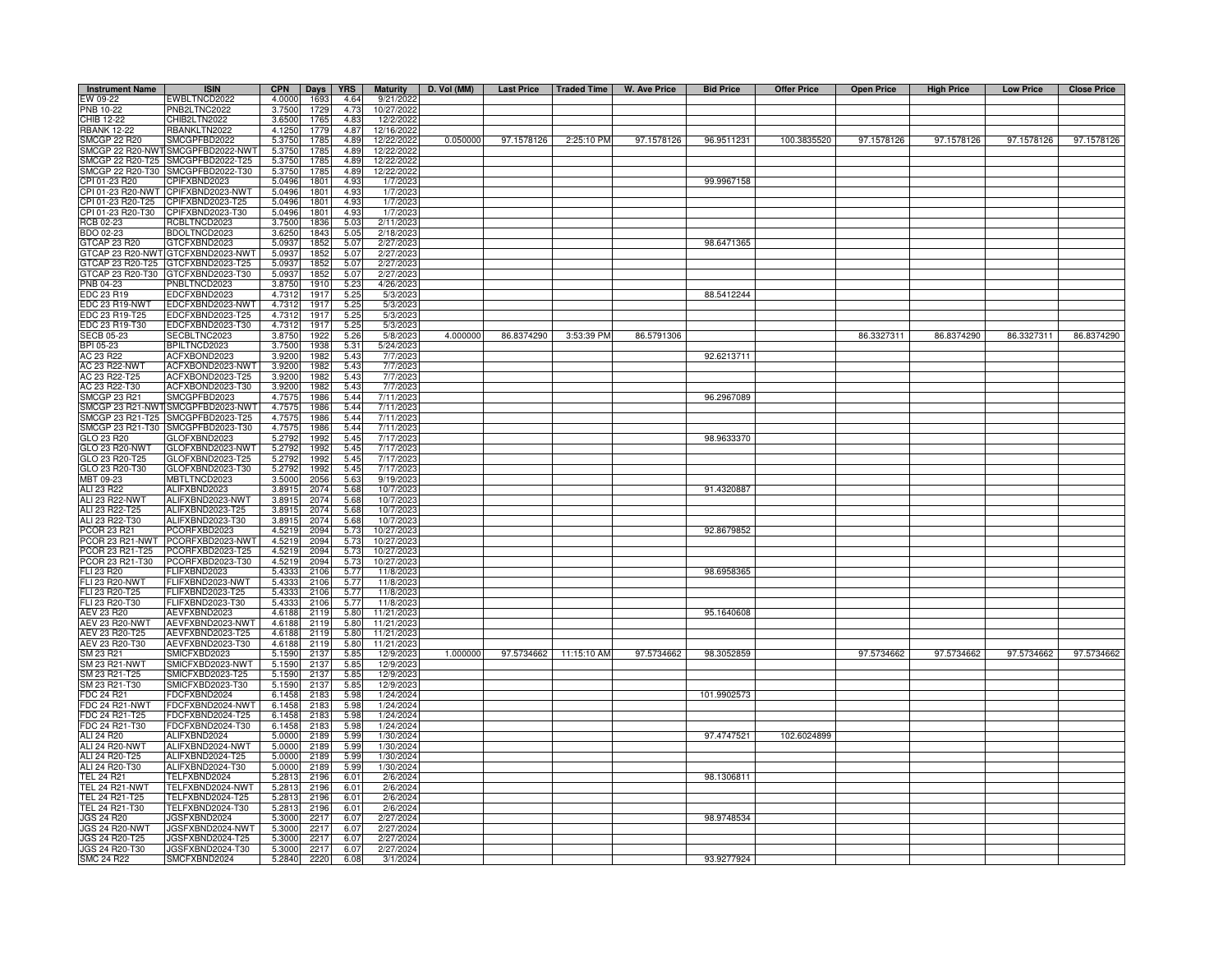| <b>Instrument Name</b>              | <b>ISIN</b>                          | <b>CPN</b>       | Days         | <b>YRS</b>   | <b>Maturity</b>         | D. Vol (MM) |            | Last Price   Traded Time | W. Ave Price | <b>Bid Price</b> | <b>Offer Price</b> | <b>Open Price</b> | <b>High Price</b> | <b>Low Price</b> | <b>Close Price</b> |
|-------------------------------------|--------------------------------------|------------------|--------------|--------------|-------------------------|-------------|------------|--------------------------|--------------|------------------|--------------------|-------------------|-------------------|------------------|--------------------|
| W 09-22                             | EWBLTNCD2022                         | 4.0000           | 1693         | 4.64         | 9/21/202                |             |            |                          |              |                  |                    |                   |                   |                  |                    |
| PNB 10-22                           | PNB2LTNC2022                         | 3.7500           | 1729         | 4.73         | 10/27/202               |             |            |                          |              |                  |                    |                   |                   |                  |                    |
| CHIB 12-22                          | CHIB2LTN2022                         | 3.6500           | 1765         | 4.83         | 12/2/2022               |             |            |                          |              |                  |                    |                   |                   |                  |                    |
| <b>RBANK 12-22</b>                  | RBANKLTN2022                         | 4.1250           | 1779         | 4.87         | 12/16/2022              |             |            |                          |              |                  |                    |                   |                   |                  |                    |
| SMCGP 22 R20                        | SMCGPFBD2022                         | 5.3750           | 1785         | 4.89         | 12/22/2022              | 0.050000    | 97.1578126 | 2:25:10 PM               | 97.1578126   | 96.9511231       | 100.3835520        | 97.1578126        | 97.1578126        | 97.1578126       | 97.1578126         |
|                                     | SMCGP 22 R20-NWT SMCGPFBD2022-NWT    | 5.3750           | 1785         | 4.89         | 12/22/2022              |             |            |                          |              |                  |                    |                   |                   |                  |                    |
| SMCGP 22 R20-T25<br>MCGP 22 R20-T30 | SMCGPFBD2022-T25<br>SMCGPFBD2022-T30 | 5.3750<br>5.3750 | 1785<br>1785 | 4.89<br>4.89 | 12/22/2022<br>12/22/202 |             |            |                          |              |                  |                    |                   |                   |                  |                    |
| PI 01-23 R20                        | CPIFXBND2023                         | 5.0496           | 1801         | 4.93         | 1/7/202                 |             |            |                          |              | 99.9967158       |                    |                   |                   |                  |                    |
| CPI 01-23 R20-NWT                   | CPIFXBND2023-NWT                     | 5.0496           | 1801         | 4.93         | 1/7/2023                |             |            |                          |              |                  |                    |                   |                   |                  |                    |
| CPI 01-23 R20-T25                   | CPIFXBND2023-T25                     | 5.0496           | 1801         | 4.93         | 1/7/202                 |             |            |                          |              |                  |                    |                   |                   |                  |                    |
| PI 01-23 R20-T30                    | CPIFXBND2023-T30                     | 5.0496           | 1801         | 4.93         | 1/7/202                 |             |            |                          |              |                  |                    |                   |                   |                  |                    |
| <b>CB 02-23</b>                     | RCBLTNCD2023                         | 3.7500           | 1836         | 5.03         | 2/11/202                |             |            |                          |              |                  |                    |                   |                   |                  |                    |
| BDO 02-23                           | BDOLTNCD2023                         | 3.6250           | 1843         | 5.05         | 2/18/202                |             |            |                          |              |                  |                    |                   |                   |                  |                    |
| GTCAP 23 R20                        | GTCFXBND2023                         | 5.0937           | 1852         | 5.07         | 2/27/2023               |             |            |                          |              | 98.6471365       |                    |                   |                   |                  |                    |
|                                     | 3TCAP 23 R20-NWT GTCFXBND2023-NWT    | 5.0937           | 1852         | 5.07         | 2/27/2023               |             |            |                          |              |                  |                    |                   |                   |                  |                    |
|                                     | GTCAP 23 R20-T25 GTCFXBND2023-T25    | 5.0937           | 1852         | 5.07         | 2/27/202                |             |            |                          |              |                  |                    |                   |                   |                  |                    |
|                                     | GTCAP 23 R20-T30 GTCFXBND2023-T30    | 5.0937           | 1852         | 5.07         | 2/27/202                |             |            |                          |              |                  |                    |                   |                   |                  |                    |
| PNB 04-23<br>EDC 23 R19             | PNBLTNCD2023<br>EDCFXBND2023         | 3.8750<br>4.7312 | 1910<br>1917 | 5.23<br>5.25 | 4/26/202<br>5/3/202     |             |            |                          |              | 88.5412244       |                    |                   |                   |                  |                    |
| EDC 23 R19-NWT                      | EDCFXBND2023-NWT                     | 4.7312           | 1917         | 5.25         | 5/3/202                 |             |            |                          |              |                  |                    |                   |                   |                  |                    |
| EDC 23 R19-T25                      | EDCFXBND2023-T25                     | 4.7312           | 1917         | 5.25         | 5/3/202                 |             |            |                          |              |                  |                    |                   |                   |                  |                    |
| EDC 23 R19-T30                      | EDCFXBND2023-T30                     | 4.7312           | 1917         | 5.25         | 5/3/202                 |             |            |                          |              |                  |                    |                   |                   |                  |                    |
| <b>SECB 05-23</b>                   | SECBLTNC2023                         | 3.8750           | 1922         | 5.26         | 5/8/202                 | 4.000000    | 86.8374290 | 3:53:39 PM               | 86.5791306   |                  |                    | 86.3327311        | 86.8374290        | 86.3327311       | 86.8374290         |
| BPI 05-23                           | BPILTNCD2023                         | 3.7500           | 1938         | 5.31         | 5/24/202                |             |            |                          |              |                  |                    |                   |                   |                  |                    |
| AC 23 R22                           | ACFXBOND2023                         | 3.9200           | 1982         | 5.43         | 7/7/202                 |             |            |                          |              | 92.6213711       |                    |                   |                   |                  |                    |
| AC 23 R22-NWT                       | ACFXBOND2023-NWT                     | 3.9200           | 1982         | 5.43         | 7/7/202                 |             |            |                          |              |                  |                    |                   |                   |                  |                    |
| AC 23 R22-T25                       | ACFXBOND2023-T25                     | 3.9200           | 1982         | 5.43         | 7/7/2023                |             |            |                          |              |                  |                    |                   |                   |                  |                    |
| AC 23 R22-T30                       | ACFXBOND2023-T30                     | 3.9200           | 1982         | 5.43         | 7/7/202                 |             |            |                          |              |                  |                    |                   |                   |                  |                    |
| <b>SMCGP 23 R21</b>                 | SMCGPFBD2023                         | 4.757            | 1986         | 5.44         | 7/11/202                |             |            |                          |              | 96.2967089       |                    |                   |                   |                  |                    |
|                                     | SMCGP 23 R21-NWT SMCGPFBD2023-NWT    | 4.757            | 1986         | 5.44         | 7/11/202                |             |            |                          |              |                  |                    |                   |                   |                  |                    |
| SMCGP 23 R21-T25                    | SMCGPFBD2023-T25                     | 4.757            | 1986         | 5.44         | 7/11/202                |             |            |                          |              |                  |                    |                   |                   |                  |                    |
| SMCGP 23 R21-T30<br>GLO 23 R20      | SMCGPFBD2023-T30<br>GLOFXBND2023     | 4.7575<br>5.279  | 1986<br>1992 | 5.44<br>5.45 | 7/11/202<br>7/17/202    |             |            |                          |              | 98.9633370       |                    |                   |                   |                  |                    |
| GLO 23 R20-NWT                      | GLOFXBND2023-NWT                     | 5.2792           | 1992         | 5.45         | 7/17/202                |             |            |                          |              |                  |                    |                   |                   |                  |                    |
| GLO 23 R20-T25                      | GLOFXBND2023-T25                     | 5.2792           | 1992         | 5.45         | 7/17/202                |             |            |                          |              |                  |                    |                   |                   |                  |                    |
| GLO 23 R20-T30                      | GLOFXBND2023-T30                     | 5.279            | 1992         | 5.45         | 7/17/202                |             |            |                          |              |                  |                    |                   |                   |                  |                    |
| MBT 09-23                           | MBTLTNCD2023                         | 3.500            | 2056         | 5.63         | 9/19/2023               |             |            |                          |              |                  |                    |                   |                   |                  |                    |
| ALI 23 R22                          | ALIFXBND2023                         | 3.891            | 2074         | 5.68         | 10/7/202                |             |            |                          |              | 91.4320887       |                    |                   |                   |                  |                    |
| ALI 23 R22-NWT                      | ALIFXBND2023-NWT                     | 3.8915           | 2074         | 5.68         | 10/7/2023               |             |            |                          |              |                  |                    |                   |                   |                  |                    |
| ALI 23 R22-T25                      | ALIFXBND2023-T25                     | 3.8915           | 2074         | 5.68         | 10/7/2023               |             |            |                          |              |                  |                    |                   |                   |                  |                    |
| ALI 23 R22-T30                      | ALIFXBND2023-T30                     | 3.8915           | 2074         | 5.68         | 10/7/2023               |             |            |                          |              |                  |                    |                   |                   |                  |                    |
| <b>PCOR 23 R21</b>                  | PCORFXBD2023                         | 4.5219           | 2094         | 5.73         | 10/27/2023              |             |            |                          |              | 92.8679852       |                    |                   |                   |                  |                    |
| PCOR 23 R21-NWT                     | PCORFXBD2023-NWT                     | 4.521            | 2094         | 5.73         | 10/27/202               |             |            |                          |              |                  |                    |                   |                   |                  |                    |
| PCOR 23 R21-T25<br>PCOR 23 R21-T30  | PCORFXBD2023-T25<br>PCORFXBD2023-T30 | 4.521<br>4.5219  | 2094<br>2094 | 5.73<br>5.73 | 10/27/202<br>10/27/202  |             |            |                          |              |                  |                    |                   |                   |                  |                    |
| <b>LI 23 R20</b>                    | FLIFXBND2023                         | 5.433            | 2106         | 5.77         | 11/8/202                |             |            |                          |              | 98.6958365       |                    |                   |                   |                  |                    |
| <b>FLI 23 R20-NWT</b>               | FLIFXBND2023-NWT                     | 5.433            | 2106         | 5.77         | 11/8/202                |             |            |                          |              |                  |                    |                   |                   |                  |                    |
| <b>LI 23 R20-T25</b>                | FLIFXBND2023-T25                     | 5.433            | 2106         | 5.77         | 11/8/202                |             |            |                          |              |                  |                    |                   |                   |                  |                    |
| LI 23 R20-T30                       | FLIFXBND2023-T30                     | 5.4333           | 2106         | 5.77         | 11/8/202                |             |            |                          |              |                  |                    |                   |                   |                  |                    |
| AEV 23 R20                          | AEVFXBND2023                         | 4.6188           | 2119         | 5.80         | 11/21/202               |             |            |                          |              | 95.1640608       |                    |                   |                   |                  |                    |
| <b>AEV 23 R20-NWT</b>               | AEVFXBND2023-NWT                     | 4.6188           | 2119         | 5.80         | 11/21/202               |             |            |                          |              |                  |                    |                   |                   |                  |                    |
| AEV 23 R20-T25                      | AEVFXBND2023-T25                     | 4.6188           | 2119         | 5.80         | 11/21/2023              |             |            |                          |              |                  |                    |                   |                   |                  |                    |
| AEV 23 R20-T30                      | AEVFXBND2023-T30                     | 4.6188           | 2119         | 5.80         | 11/21/202               |             |            |                          |              |                  |                    |                   |                   |                  |                    |
| SM 23 R21                           | SMICFXBD2023                         | 5.1590           | 2137         | 5.85         | 12/9/202                | 1.000000    | 97.5734662 | 11:15:10 AM              | 97.5734662   | 98.3052859       |                    | 97.5734662        | 97.5734662        | 97.5734662       | 97.5734662         |
| SM 23 R21-NWT<br>SM 23 R21-T25      | SMICFXBD2023-NWT                     | 5.1590           | 2137         | 5.85         | 12/9/202                |             |            |                          |              |                  |                    |                   |                   |                  |                    |
| SM 23 R21-T30                       | SMICFXBD2023-T25<br>SMICFXBD2023-T30 | 5.1590<br>5.1590 | 2137<br>2137 | 5.85<br>5.85 | 12/9/202<br>12/9/202    |             |            |                          |              |                  |                    |                   |                   |                  |                    |
| FDC 24 R21                          | FDCFXBND2024                         | 6.1458           | 2183         | 5.98         | 1/24/2024               |             |            |                          |              | 101.9902573      |                    |                   |                   |                  |                    |
| <b>FDC 24 R21-NWT</b>               | FDCFXBND2024-NWT                     | 6.1458           | 2183         | 5.98         | 1/24/2024               |             |            |                          |              |                  |                    |                   |                   |                  |                    |
| FDC 24 R21-T25                      | FDCFXBND2024-T25                     | 6.1458           | 2183         | 5.98         | 1/24/2024               |             |            |                          |              |                  |                    |                   |                   |                  |                    |
| FDC 24 R21-T30                      | FDCFXBND2024-T30                     | 6.1458           | 2183         | 5.98         | 1/24/2024               |             |            |                          |              |                  |                    |                   |                   |                  |                    |
| <b>ALI 24 R20</b>                   | ALIFXBND2024                         | 5.0000           | 2189         | 5.99         | 1/30/2024               |             |            |                          |              | 97.4747521       | 102.6024899        |                   |                   |                  |                    |
| <b>ALI 24 R20-NWT</b>               | ALIFXBND2024-NWT                     | 5.0000           | 2189         | 5.99         | 1/30/2024               |             |            |                          |              |                  |                    |                   |                   |                  |                    |
| ALI 24 R20-T25                      | ALIFXBND2024-T25                     | 5.0000           | 2189         | 5.99         | 1/30/2024               |             |            |                          |              |                  |                    |                   |                   |                  |                    |
| ALI 24 R20-T30                      | ALIFXBND2024-T30                     | 5.0000           | 2189         | 5.99         | 1/30/2024               |             |            |                          |              |                  |                    |                   |                   |                  |                    |
| <b>TEL 24 R21</b>                   | TELFXBND2024                         | 5.2813           | 2196         | 6.01         | 2/6/2024                |             |            |                          |              | 98.1306811       |                    |                   |                   |                  |                    |
| <b>TEL 24 R21-NWT</b>               | TELFXBND2024-NWT                     | 5.2813           | 2196         | 6.01         | 2/6/2024                |             |            |                          |              |                  |                    |                   |                   |                  |                    |
| TEL 24 R21-T25<br>TEL 24 R21-T30    | TELFXBND2024-T25<br>TELFXBND2024-T30 | 5.2813<br>5.281  | 2196<br>2196 | 6.01<br>6.01 | 2/6/2024<br>2/6/2024    |             |            |                          |              |                  |                    |                   |                   |                  |                    |
| <b>JGS 24 R20</b>                   | JGSFXBND2024                         | 5.3000           | 2217         | 6.07         | 2/27/2024               |             |            |                          |              | 98.9748534       |                    |                   |                   |                  |                    |
| <b>JGS 24 R20-NWT</b>               | JGSFXBND2024-NWT                     | 5.300            | 2217         | 6.07         | 2/27/2024               |             |            |                          |              |                  |                    |                   |                   |                  |                    |
| <b>JGS 24 R20-T25</b>               | JGSFXBND2024-T25                     | 5.300            | 2217         | 6.07         | 2/27/2024               |             |            |                          |              |                  |                    |                   |                   |                  |                    |
| JGS 24 R20-T30                      | JGSFXBND2024-T30                     | 5.300            | 2217         | 6.07         | 2/27/202                |             |            |                          |              |                  |                    |                   |                   |                  |                    |
| <b>SMC 24 R22</b>                   | SMCFXBND2024                         | 5.2840           | 2220         | 6.08         | 3/1/2024                |             |            |                          |              | 93.9277924       |                    |                   |                   |                  |                    |
|                                     |                                      |                  |              |              |                         |             |            |                          |              |                  |                    |                   |                   |                  |                    |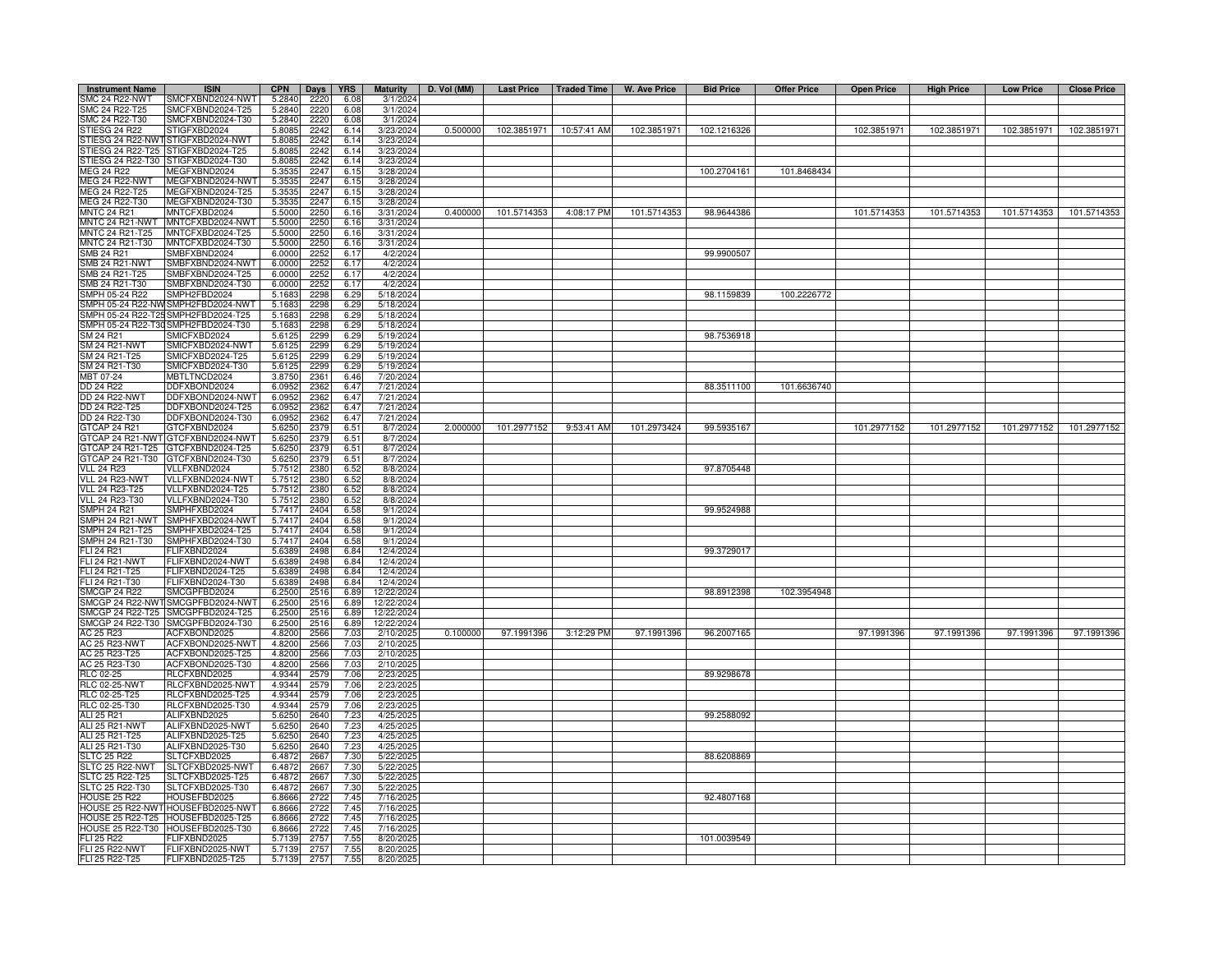| <b>Instrument Name</b>                 | <b>ISIN</b>                                       | <b>CPN</b>       | Days         | <b>YRS</b>   | <b>Maturity</b>          | D. Vol (MM) | <b>Last Price</b> | Traded Time | W. Ave Price | <b>Bid Price</b> | <b>Offer Price</b> | <b>Open Price</b> | <b>High Price</b> | <b>Low Price</b> | <b>Close Price</b> |
|----------------------------------------|---------------------------------------------------|------------------|--------------|--------------|--------------------------|-------------|-------------------|-------------|--------------|------------------|--------------------|-------------------|-------------------|------------------|--------------------|
| SMC 24 R22-NWT                         | SMCFXBND2024-NWT                                  | 5.2840           | 2220         | 6.08         | 3/1/2024                 |             |                   |             |              |                  |                    |                   |                   |                  |                    |
| SMC 24 R22-T25                         | SMCFXBND2024-T25                                  | 5.2840           | 2220         | 6.08         | 3/1/2024                 |             |                   |             |              |                  |                    |                   |                   |                  |                    |
| SMC 24 R22-T30                         | SMCFXBND2024-T30                                  | 5.2840           | 2220         | 6.08         | 3/1/2024                 | 0.500000    | 102.3851971       | 10:57:41 AM |              |                  |                    | 102.3851971       | 102.3851971       | 102.3851971      | 102.3851971        |
| STIESG 24 R22<br>TIESG 24 R22-NWT      | STIGFXBD2024<br>STIGFXBD2024-NWT                  | 5.8085<br>5.8085 | 2242<br>2242 | 6.14<br>6.14 | 3/23/2024<br>3/23/2024   |             |                   |             | 102.3851971  | 102.1216326      |                    |                   |                   |                  |                    |
| TIESG 24 R22-T25                       | STIGFXBD2024-T25                                  | 5.8085           | 2242         | 6.14         | 3/23/2024                |             |                   |             |              |                  |                    |                   |                   |                  |                    |
| TIESG 24 R22-T30                       | STIGFXBD2024-T30                                  | 5.8085           | 2242         | 6.14         | 3/23/2024                |             |                   |             |              |                  |                    |                   |                   |                  |                    |
| MEG 24 R22                             | MEGFXBND2024                                      | 5.3535           | 2247         | 6.15         | 3/28/2024                |             |                   |             |              | 100.2704161      | 101.8468434        |                   |                   |                  |                    |
| <b>MEG 24 R22-NWT</b>                  | MEGFXBND2024-NWT                                  | 5.3535           | 2247         | 6.15         | 3/28/2024                |             |                   |             |              |                  |                    |                   |                   |                  |                    |
| MEG 24 R22-T25                         | MEGFXBND2024-T25                                  | 5.3535           | 224          | 6.15         | 3/28/2024                |             |                   |             |              |                  |                    |                   |                   |                  |                    |
| MEG 24 R22-T30                         | MEGFXBND2024-T30                                  | 5.3535           | 224          | 6.15<br>6.16 | 3/28/2024                | 0.400000    |                   |             |              |                  |                    |                   |                   |                  |                    |
| <b>MNTC 24 R21</b><br>MNTC 24 R21-NWT  | MNTCFXBD2024<br>MNTCFXBD2024-NWT                  | 5.5000<br>5.5000 | 225<br>2250  | 6.16         | 3/31/2024<br>3/31/2024   |             | 101.5714353       | 4:08:17 PM  | 101.5714353  | 98.9644386       |                    | 101.5714353       | 101.5714353       | 101.5714353      | 101.5714353        |
| MNTC 24 R21-T25                        | MNTCFXBD2024-T25                                  | 5.5000           | 2250         | 6.16         | 3/31/2024                |             |                   |             |              |                  |                    |                   |                   |                  |                    |
| <b>INTC 24 R21-T30</b>                 | MNTCFXBD2024-T30                                  | 5.5000           | 2250         | 6.16         | 3/31/2024                |             |                   |             |              |                  |                    |                   |                   |                  |                    |
| SMB 24 R21                             | SMBFXBND2024                                      | 6.0000           | 2252         | 6.17         | 4/2/2024                 |             |                   |             |              | 99.9900507       |                    |                   |                   |                  |                    |
| SMB 24 R21-NWT                         | SMBFXBND2024-NWT                                  | 6.0000           | 2252         | 6.17         | 4/2/2024                 |             |                   |             |              |                  |                    |                   |                   |                  |                    |
| MB 24 R21-T25                          | SMBFXBND2024-T25                                  | 6.0000           | 2252         | 6.17         | 4/2/2024                 |             |                   |             |              |                  |                    |                   |                   |                  |                    |
| MB 24 R21-T30                          | SMBFXBND2024-T30                                  | 6.0000           | 225i         | 6.17         | 4/2/2024                 |             |                   |             |              |                  |                    |                   |                   |                  |                    |
| MPH 05-24 R22                          | SMPH2FBD2024                                      | 5.1683           | 2298         | 6.29         | 5/18/2024                |             |                   |             |              | 98.1159839       | 100.2226772        |                   |                   |                  |                    |
| MPH 05-24 R22-NV<br>MPH 05-24 R22-T2!  | SMPH2FBD2024-NWT<br>SMPH2FBD2024-T25              | 5.1683<br>5.1683 | 2298<br>2298 | 6.29<br>6.29 | 5/18/2024<br>5/18/2024   |             |                   |             |              |                  |                    |                   |                   |                  |                    |
|                                        | MPH 05-24 R22-T30 SMPH2FBD2024-T30                | 5.1683           | 2298         | 6.29         | 5/18/2024                |             |                   |             |              |                  |                    |                   |                   |                  |                    |
| M 24 R 21                              | SMICFXBD2024                                      | 5.612            | 2299         | 6.29         | 5/19/2024                |             |                   |             |              | 98.7536918       |                    |                   |                   |                  |                    |
| SM 24 R21-NWT                          | SMICFXBD2024-NWT                                  | 5.6125           | 2299         | 6.29         | 5/19/2024                |             |                   |             |              |                  |                    |                   |                   |                  |                    |
| SM 24 R21-T25                          | SMICFXBD2024-T25                                  | 5.6125           | 2299         | 6.29         | 5/19/2024                |             |                   |             |              |                  |                    |                   |                   |                  |                    |
| SM 24 R21-T30                          | SMICFXBD2024-T30                                  | 5.6125           | 2299         | 6.29         | 5/19/2024                |             |                   |             |              |                  |                    |                   |                   |                  |                    |
| MBT 07-24                              | MBTLTNCD2024                                      | 3.8750           | 2361         | 6.46         | 7/20/2024                |             |                   |             |              |                  |                    |                   |                   |                  |                    |
| DD 24 R22                              | DDFXBOND2024                                      | 6.095            | 236          | 6.47         | 7/21/2024                |             |                   |             |              | 88.3511100       | 101.6636740        |                   |                   |                  |                    |
| <b>DD 24 R22-NWT</b><br>DD 24 R22-T25  | DDFXBOND2024-NWT<br>DDFXBOND2024-T25              | 6.095<br>6.095   | 2362<br>2362 | 6.47         | 7/21/2024<br>7/21/2024   |             |                   |             |              |                  |                    |                   |                   |                  |                    |
| DD 24 R22-T30                          | DDFXBOND2024-T30                                  | 6.095            | 2362         | 6.47<br>6.47 | 7/21/2024                |             |                   |             |              |                  |                    |                   |                   |                  |                    |
| GTCAP 24 R21                           | GTCFXBND2024                                      | 5.6250           | 2379         | 6.51         | 8/7/2024                 | 2.000000    | 101.2977152       | 9:53:41 AM  | 101.2973424  | 99.5935167       |                    | 101.2977152       | 101.2977152       | 101.2977152      | 101.2977152        |
| GTCAP 24 R21-NWT                       | GTCFXBND2024-NWT                                  | 5.6250           | 2379         | 6.51         | 8/7/2024                 |             |                   |             |              |                  |                    |                   |                   |                  |                    |
| GTCAP 24 R21-T25                       | GTCFXBND2024-T25                                  | 5.6250           | 2379         | 6.51         | 8/7/2024                 |             |                   |             |              |                  |                    |                   |                   |                  |                    |
| GTCAP 24 R21-T30                       | GTCFXBND2024-T30                                  | 5.6250           | 2379         | 6.51         | 8/7/2024                 |             |                   |             |              |                  |                    |                   |                   |                  |                    |
| <b>VLL 24 R23</b>                      | VLLFXBND2024                                      | 5.751            | 2380         | 6.52         | 8/8/2024                 |             |                   |             |              | 97.8705448       |                    |                   |                   |                  |                    |
| VLL 24 R23-NWT                         | VLLFXBND2024-NWT                                  | 5.7512           | 2380         | 6.52         | 8/8/2024                 |             |                   |             |              |                  |                    |                   |                   |                  |                    |
| <b>VLL 24 R23-T25</b>                  | VLLFXBND2024-T25                                  | 5.7512<br>5.7512 | 2380<br>2380 | 6.52         | 8/8/2024                 |             |                   |             |              |                  |                    |                   |                   |                  |                    |
| VLL 24 R23-T30<br>SMPH 24 R21          | VLLFXBND2024-T30<br>SMPHFXBD2024                  | 5.7417           | 2404         | 6.52<br>6.58 | 8/8/2024<br>9/1/2024     |             |                   |             |              | 99.9524988       |                    |                   |                   |                  |                    |
| MPH 24 R21-NWT                         | SMPHFXBD2024-NWT                                  | 5.741            | 2404         | 6.58         | 9/1/2024                 |             |                   |             |              |                  |                    |                   |                   |                  |                    |
| MPH 24 R21-T25                         | SMPHFXBD2024-T25                                  | 5.741            | 2404         | 6.58         | 9/1/2024                 |             |                   |             |              |                  |                    |                   |                   |                  |                    |
| MPH 24 R21-T30                         | SMPHFXBD2024-T30                                  | 5.741            | 2404         | 6.58         | 9/1/2024                 |             |                   |             |              |                  |                    |                   |                   |                  |                    |
| LI 24 R21                              | FLIFXBND2024                                      | 5.6389           | 2498         | 6.84         | 12/4/2024                |             |                   |             |              | 99.3729017       |                    |                   |                   |                  |                    |
| LI 24 R21-NWT                          | FLIFXBND2024-NWT                                  | 5.6389           | 2498         | 6.84         | 12/4/2024                |             |                   |             |              |                  |                    |                   |                   |                  |                    |
| LI 24 R21-T25                          | FLIFXBND2024-T25                                  | 5.6389           | 2498         | 6.84         | 12/4/2024                |             |                   |             |              |                  |                    |                   |                   |                  |                    |
| FLI 24 R21-T30                         | FLIFXBND2024-T30                                  | 5.6389           | 2498         | 6.84         | 12/4/2024                |             |                   |             |              |                  |                    |                   |                   |                  |                    |
| SMCGP 24 R22                           | SMCGPFBD2024<br>SMCGP 24 R22-NWT SMCGPFBD2024-NWT | 6.2500<br>6.2500 | 2516<br>2516 | 6.89<br>6.89 | 12/22/2024<br>12/22/2024 |             |                   |             |              | 98.8912398       | 102.3954948        |                   |                   |                  |                    |
|                                        | SMCGP 24 R22-T25 SMCGPFBD2024-T25                 | 6.2500           | 2516         | 6.89         | 12/22/2024               |             |                   |             |              |                  |                    |                   |                   |                  |                    |
|                                        | SMCGP 24 R22-T30 SMCGPFBD2024-T30                 | 6.2500           | 2516         | 6.89         | 12/22/2024               |             |                   |             |              |                  |                    |                   |                   |                  |                    |
| AC 25 R23                              | ACFXBOND2025                                      | 4.8200           | 2566         | 7.03         | 2/10/2025                | 0.100000    | 97.1991396        | 3:12:29 PM  | 97.1991396   | 96.2007165       |                    | 97.1991396        | 97.1991396        | 97.1991396       | 97.1991396         |
|                                        | ACFXBOND2025-NWT                                  | 4.8200           | 2566         | 7.03         | 2/10/2025                |             |                   |             |              |                  |                    |                   |                   |                  |                    |
| AC 25 R23-NWT<br>AC 25 R23-T25         | ACFXBOND2025-T25                                  | 4.8200           | 2566         | 7.03         | 2/10/2025                |             |                   |             |              |                  |                    |                   |                   |                  |                    |
| AC 25 R23-T30                          | ACFXBOND2025-T30                                  | 4.8200           | 2566         | 7.03         | 2/10/2025                |             |                   |             |              |                  |                    |                   |                   |                  |                    |
| RLC 02-25                              | RLCFXBND2025                                      | 4.9344           | 2579         | 7.06         | 2/23/202                 |             |                   |             |              | 89.9298678       |                    |                   |                   |                  |                    |
| <b>RLC 02-25-NWT</b>                   | RLCFXBND2025-NWT<br>RLCFXBND2025-T25              | 4.9344<br>4.9344 | 2579         | 7.06<br>7.06 | 2/23/2025<br>2/23/2025   |             |                   |             |              |                  |                    |                   |                   |                  |                    |
| RLC 02-25-T25<br>RLC 02-25-T30         | RLCFXBND2025-T30                                  | 4.9344           | 2579<br>2579 | 7.06         | 2/23/2025                |             |                   |             |              |                  |                    |                   |                   |                  |                    |
| ALI 25 R21                             | ALIFXBND2025                                      | 5.6250           | 2640         | 7.23         | 4/25/2025                |             |                   |             |              | 99.2588092       |                    |                   |                   |                  |                    |
| <b>ALI 25 R21-NWT</b>                  | ALIFXBND2025-NWT                                  | 5.6250           | 2640         | 7.23         | 4/25/2025                |             |                   |             |              |                  |                    |                   |                   |                  |                    |
| ALI 25 R21-T25                         | ALIFXBND2025-T25                                  | 5.6250           | 2640         | 7.23         | 4/25/2025                |             |                   |             |              |                  |                    |                   |                   |                  |                    |
| ALI 25 R21-T30                         | ALIFXBND2025-T30                                  | 5.6250           | 2640         | 7.23         | 4/25/2025                |             |                   |             |              |                  |                    |                   |                   |                  |                    |
| <b>SLTC 25 R22</b>                     | SLTCFXBD2025                                      | 6.4872           | 2667         | 7.30         | 5/22/2025                |             |                   |             |              | 88.6208869       |                    |                   |                   |                  |                    |
| SLTC 25 R22-NWT                        | SLTCFXBD2025-NWT                                  | 6.4872           | 2667         | 7.30         | 5/22/2025                |             |                   |             |              |                  |                    |                   |                   |                  |                    |
| SLTC 25 R22-T25                        | SLTCFXBD2025-T25                                  | 6.4872           | 2667         | 7.30         | 5/22/2025                |             |                   |             |              |                  |                    |                   |                   |                  |                    |
| SLTC 25 R22-T30<br><b>HOUSE 25 R22</b> | SLTCFXBD2025-T30<br>HOUSEFBD2025                  | 6.4872<br>6.8666 | 266<br>272i  | 7.30<br>7.45 | 5/22/2025<br>7/16/2025   |             |                   |             |              | 92.4807168       |                    |                   |                   |                  |                    |
|                                        | HOUSE 25 R22-NWT HOUSEFBD2025-NWT                 | 6.8666           | 2722         | 7.45         | 7/16/2025                |             |                   |             |              |                  |                    |                   |                   |                  |                    |
|                                        | HOUSE 25 R22-T25 HOUSEFBD2025-T25                 | 6.8666           | 2722         | 7.45         | 7/16/2025                |             |                   |             |              |                  |                    |                   |                   |                  |                    |
|                                        | HOUSE 25 R22-T30 HOUSEFBD2025-T30                 | 6.8666           | 2722         | 745          | 7/16/2025                |             |                   |             |              |                  |                    |                   |                   |                  |                    |
| FLI 25 R22                             | FLIFXBND2025                                      | 5.7139           | 2757         | 7.55         | 8/20/2025                |             |                   |             |              | 101.0039549      |                    |                   |                   |                  |                    |
| <b>FLI 25 R22-NWT</b>                  | FLIFXBND2025-NWT                                  | 5.7139           | 275          | 7.55         | 8/20/202                 |             |                   |             |              |                  |                    |                   |                   |                  |                    |
| FLI 25 R22-T25                         | FLIFXBND2025-T25                                  | 5.7139           | 2757         | 7.55         | 8/20/2025                |             |                   |             |              |                  |                    |                   |                   |                  |                    |